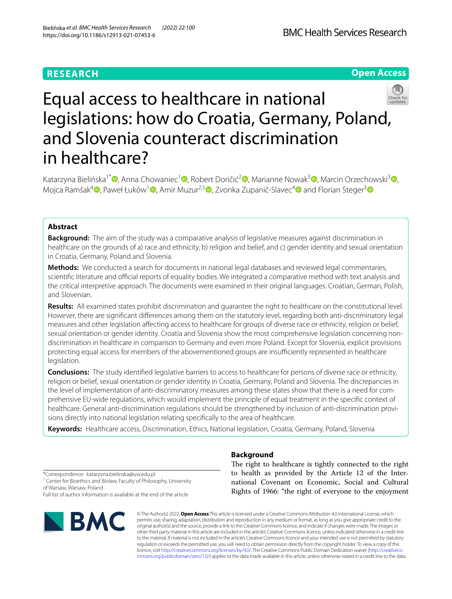# **RESEARCH**



# Equal access to healthcare in national legislations: how do Croatia, Germany, Poland, and Slovenia counteract discrimination in healthcare?

Katarzyna Bielińska<sup>1\*</sup><sup>®</sup>[,](http://orcid.org/0000-0001-5452-2814) Anna Chowaniec<sup>1</sup>®[,](http://orcid.org/0000-0003-4244-7989) Robert Doričić<sup>2</sup>®, Marianne Nowak<sup>3</sup> ®, Marcin Orzechowski<sup>3</sup> ®, Mojca Ramšak<sup>[4](http://orcid.org/0000-0002-2599-4836)</sup> $\bullet$ [,](http://orcid.org/0000-0002-6873-6853) Paweł Łuków<sup>1</sup> $\bullet$ [,](http://orcid.org/0000-0002-9770-6733) Amir Muzur<sup>2,5</sup> $\bullet$ , Zvonka Zupanič-Slavec<sup>4</sup> $\bullet$  and Florian Steger<sup>[3](http://orcid.org/0000-0001-8108-1591)</sup> $\bullet$ 

# **Abstract**

**Background:** The aim of the study was a comparative analysis of legislative measures against discrimination in healthcare on the grounds of a) race and ethnicity, b) religion and belief, and c) gender identity and sexual orientation in Croatia, Germany, Poland and Slovenia.

**Methods:** We conducted a search for documents in national legal databases and reviewed legal commentaries, scientific literature and official reports of equality bodies. We integrated a comparative method with text analysis and the critical interpretive approach. The documents were examined in their original languages: Croatian, German, Polish, and Slovenian.

**Results:** All examined states prohibit discrimination and guarantee the right to healthcare on the constitutional level. However, there are signifcant diferences among them on the statutory level, regarding both anti-discriminatory legal measures and other legislation afecting access to healthcare for groups of diverse race or ethnicity, religion or belief, sexual orientation or gender identity. Croatia and Slovenia show the most comprehensive legislation concerning nondiscrimination in healthcare in comparison to Germany and even more Poland. Except for Slovenia, explicit provisions protecting equal access for members of the abovementioned groups are insufficiently represented in healthcare legislation.

**Conclusions:** The study identifed legislative barriers to access to healthcare for persons of diverse race or ethnicity, religion or belief, sexual orientation or gender identity in Croatia, Germany, Poland and Slovenia. The discrepancies in the level of implementation of anti-discriminatory measures among these states show that there is a need for comprehensive EU-wide regulations, which would implement the principle of equal treatment in the specifc context of healthcare. General anti-discrimination regulations should be strengthened by inclusion of anti-discrimination provisions directly into national legislation relating specifcally to the area of healthcare.

**Keywords:** Healthcare access, Discrimination, Ethics, National legislation, Croatia, Germany, Poland, Slovenia

**Background**

The right to healthcare is tightly connected to the right to health as provided by the Article 12 of the International Covenant on Economic, Social and Cultural Rights of 1966: "the right of everyone to the enjoyment

\*Correspondence: katarzyna.bielinska@uw.edu.pl <sup>1</sup> Center for Bioethics and Biolaw, Faculty of Philosophy, University of Warsaw, Warsaw, Poland Full list of author information is available at the end of the article



© The Author(s) 2022. **Open Access** This article is licensed under a Creative Commons Attribution 4.0 International License, which permits use, sharing, adaptation, distribution and reproduction in any medium or format, as long as you give appropriate credit to the original author(s) and the source, provide a link to the Creative Commons licence, and indicate if changes were made. The images or other third party material in this article are included in the article's Creative Commons licence, unless indicated otherwise in a credit line to the material. If material is not included in the article's Creative Commons licence and your intended use is not permitted by statutory regulation or exceeds the permitted use, you will need to obtain permission directly from the copyright holder. To view a copy of this licence, visit [http://creativecommons.org/licenses/by/4.0/.](http://creativecommons.org/licenses/by/4.0/) The Creative Commons Public Domain Dedication waiver ([http://creativeco](http://creativecommons.org/publicdomain/zero/1.0/) [mmons.org/publicdomain/zero/1.0/](http://creativecommons.org/publicdomain/zero/1.0/)) applies to the data made available in this article, unless otherwise stated in a credit line to the data.

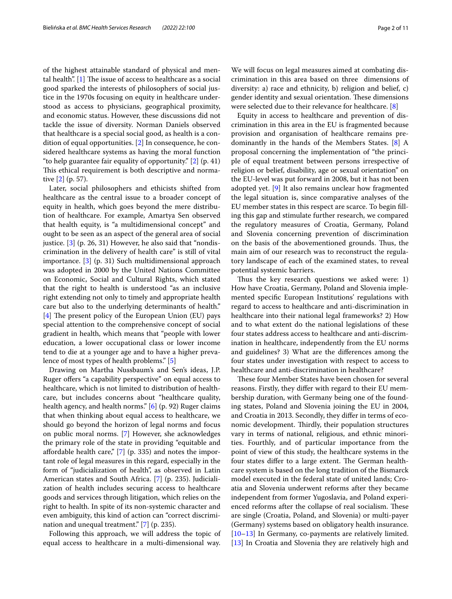of the highest attainable standard of physical and mental health".  $[1]$  $[1]$  The issue of access to healthcare as a social good sparked the interests of philosophers of social justice in the 1970s focusing on equity in healthcare understood as access to physicians, geographical proximity, and economic status. However, these discussions did not tackle the issue of diversity. Norman Daniels observed that healthcare is a special social good, as health is a condition of equal opportunities. [[2](#page-8-1)] In consequence, he considered healthcare systems as having the moral function "to help guarantee fair equality of opportunity." [[2\]](#page-8-1) (p. 41) This ethical requirement is both descriptive and normative [\[2\]](#page-8-1) (p. 57).

Later, social philosophers and ethicists shifted from healthcare as the central issue to a broader concept of equity in health, which goes beyond the mere distribution of healthcare. For example, Amartya Sen observed that health equity, is "a multidimensional concept" and ought to be seen as an aspect of the general area of social justice. [\[3](#page-8-2)] (p. 26, 31) However, he also said that "nondiscrimination in the delivery of health care" is still of vital importance. [[3](#page-8-2)] (p. 31) Such multidimensional approach was adopted in 2000 by the United Nations Committee on Economic, Social and Cultural Rights, which stated that the right to health is understood "as an inclusive right extending not only to timely and appropriate health care but also to the underlying determinants of health." [[4\]](#page-8-3) The present policy of the European Union (EU) pays special attention to the comprehensive concept of social gradient in health, which means that "people with lower education, a lower occupational class or lower income tend to die at a younger age and to have a higher prevalence of most types of health problems." [\[5\]](#page-8-4)

Drawing on Martha Nussbaum's and Sen's ideas, J.P. Ruger offers "a capability perspective" on equal access to healthcare, which is not limited to distribution of healthcare, but includes concerns about "healthcare quality, health agency, and health norms." [\[6\]](#page-8-5) (p. 92) Ruger claims that when thinking about equal access to healthcare, we should go beyond the horizon of legal norms and focus on public moral norms. [\[7\]](#page-8-6) However, she acknowledges the primary role of the state in providing "equitable and afordable health care," [[7\]](#page-8-6) (p. 335) and notes the important role of legal measures in this regard, especially in the form of "judicialization of health", as observed in Latin American states and South Africa. [[7\]](#page-8-6) (p. 235). Judicialization of health includes securing access to healthcare goods and services through litigation, which relies on the right to health. In spite of its non-systemic character and even ambiguity, this kind of action can "correct discrimination and unequal treatment." [[7\]](#page-8-6) (p. 235).

Following this approach, we will address the topic of equal access to healthcare in a multi-dimensional way.

We will focus on legal measures aimed at combating discrimination in this area based on three dimensions of diversity: a) race and ethnicity, b) religion and belief, c) gender identity and sexual orientation. These dimensions were selected due to their relevance for healthcare. [[8\]](#page-8-7)

Equity in access to healthcare and prevention of discrimination in this area in the EU is fragmented because provision and organisation of healthcare remains predominantly in the hands of the Members States. [\[8](#page-8-7)] A proposal concerning the implementation of "the principle of equal treatment between persons irrespective of religion or belief, disability, age or sexual orientation" on the EU-level was put forward in 2008, but it has not been adopted yet. [[9\]](#page-8-8) It also remains unclear how fragmented the legal situation is, since comparative analyses of the EU member states in this respect are scarce. To begin flling this gap and stimulate further research, we compared the regulatory measures of Croatia, Germany, Poland and Slovenia concerning prevention of discrimination on the basis of the abovementioned grounds. Thus, the main aim of our research was to reconstruct the regulatory landscape of each of the examined states, to reveal potential systemic barriers.

Thus the key research questions we asked were: 1) How have Croatia, Germany, Poland and Slovenia implemented specifc European Institutions' regulations with regard to access to healthcare and anti-discrimination in healthcare into their national legal frameworks? 2) How and to what extent do the national legislations of these four states address access to healthcare and anti-discrimination in healthcare, independently from the EU norms and guidelines? 3) What are the diferences among the four states under investigation with respect to access to healthcare and anti-discrimination in healthcare?

These four Member States have been chosen for several reasons. Firstly, they difer with regard to their EU membership duration, with Germany being one of the founding states, Poland and Slovenia joining the EU in 2004, and Croatia in 2013. Secondly, they difer in terms of economic development. Thirdly, their population structures vary in terms of national, religious, and ethnic minorities. Fourthly, and of particular importance from the point of view of this study, the healthcare systems in the four states differ to a large extent. The German healthcare system is based on the long tradition of the Bismarck model executed in the federal state of united lands; Croatia and Slovenia underwent reforms after they became independent from former Yugoslavia, and Poland experienced reforms after the collapse of real socialism. These are single (Croatia, Poland, and Slovenia) or multi-payer (Germany) systems based on obligatory health insurance. [[10–](#page-8-9)[13\]](#page-8-10) In Germany, co-payments are relatively limited. [[13\]](#page-8-10) In Croatia and Slovenia they are relatively high and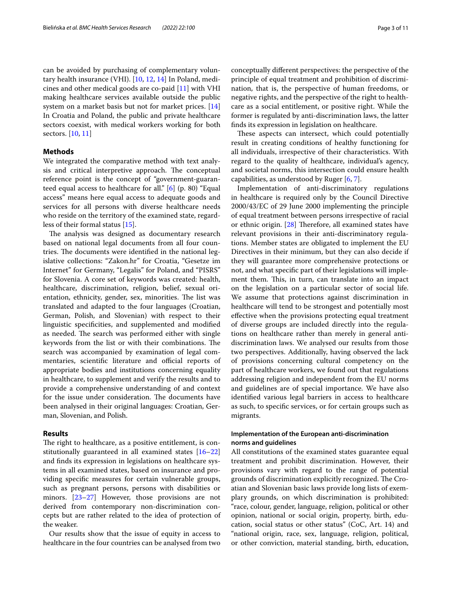can be avoided by purchasing of complementary voluntary health insurance (VHI). [[10,](#page-8-9) [12](#page-8-11), [14\]](#page-8-12) In Poland, medicines and other medical goods are co-paid [\[11](#page-8-13)] with VHI making healthcare services available outside the public system on a market basis but not for market prices. [[14](#page-8-12)] In Croatia and Poland, the public and private healthcare sectors coexist, with medical workers working for both sectors. [[10](#page-8-9), [11\]](#page-8-13)

# **Methods**

We integrated the comparative method with text analysis and critical interpretive approach. The conceptual reference point is the concept of "government-guaranteed equal access to healthcare for all." [[6\]](#page-8-5) (p. 80) "Equal access" means here equal access to adequate goods and services for all persons with diverse healthcare needs who reside on the territory of the examined state, regardless of their formal status [[15](#page-8-14)].

The analysis was designed as documentary research based on national legal documents from all four countries. The documents were identified in the national legislative collections: "Zakon.hr" for Croatia, "Gesetze im Internet" for Germany, "Legalis" for Poland, and "PISRS" for Slovenia. A core set of keywords was created: health, healthcare, discrimination, religion, belief, sexual orientation, ethnicity, gender, sex, minorities. The list was translated and adapted to the four languages (Croatian, German, Polish, and Slovenian) with respect to their linguistic specifcities, and supplemented and modifed as needed. The search was performed either with single keywords from the list or with their combinations. The search was accompanied by examination of legal commentaries, scientific literature and official reports of appropriate bodies and institutions concerning equality in healthcare, to supplement and verify the results and to provide a comprehensive understanding of and context for the issue under consideration. The documents have been analysed in their original languages: Croatian, German, Slovenian, and Polish.

# **Results**

The right to healthcare, as a positive entitlement, is constitutionally guaranteed in all examined states [[16–](#page-8-15)[22](#page-8-16)] and fnds its expression in legislations on healthcare systems in all examined states, based on insurance and providing specifc measures for certain vulnerable groups, such as pregnant persons, persons with disabilities or minors. [\[23](#page-8-17)–[27\]](#page-8-18) However, those provisions are not derived from contemporary non-discrimination concepts but are rather related to the idea of protection of the weaker.

Our results show that the issue of equity in access to healthcare in the four countries can be analysed from two conceptually diferent perspectives: the perspective of the principle of equal treatment and prohibition of discrimination, that is, the perspective of human freedoms, or negative rights, and the perspective of the right to healthcare as a social entitlement, or positive right. While the former is regulated by anti-discrimination laws, the latter fnds its expression in legislation on healthcare.

These aspects can intersect, which could potentially result in creating conditions of healthy functioning for all individuals, irrespective of their characteristics. With regard to the quality of healthcare, individual's agency, and societal norms, this intersection could ensure health capabilities, as understood by Ruger [[6,](#page-8-5) [7](#page-8-6)].

Implementation of anti-discriminatory regulations in healthcare is required only by the Council Directive 2000/43/EC of 29 June 2000 implementing the principle of equal treatment between persons irrespective of racial or ethnic origin.  $[28]$  $[28]$  Therefore, all examined states have relevant provisions in their anti-discriminatory regulations. Member states are obligated to implement the EU Directives in their minimum, but they can also decide if they will guarantee more comprehensive protections or not, and what specifc part of their legislations will implement them. This, in turn, can translate into an impact on the legislation on a particular sector of social life. We assume that protections against discrimination in healthcare will tend to be strongest and potentially most efective when the provisions protecting equal treatment of diverse groups are included directly into the regulations on healthcare rather than merely in general antidiscrimination laws. We analysed our results from those two perspectives. Additionally, having observed the lack of provisions concerning cultural competency on the part of healthcare workers, we found out that regulations addressing religion and independent from the EU norms and guidelines are of special importance. We have also identifed various legal barriers in access to healthcare as such, to specifc services, or for certain groups such as migrants.

# **Implementation of the European anti‑discrimination norms and guidelines**

All constitutions of the examined states guarantee equal treatment and prohibit discrimination. However, their provisions vary with regard to the range of potential grounds of discrimination explicitly recognized. The Croatian and Slovenian basic laws provide long lists of exemplary grounds, on which discrimination is prohibited: "race, colour, gender, language, religion, political or other opinion, national or social origin, property, birth, education, social status or other status" (CoC, Art. 14) and "national origin, race, sex, language, religion, political, or other conviction, material standing, birth, education,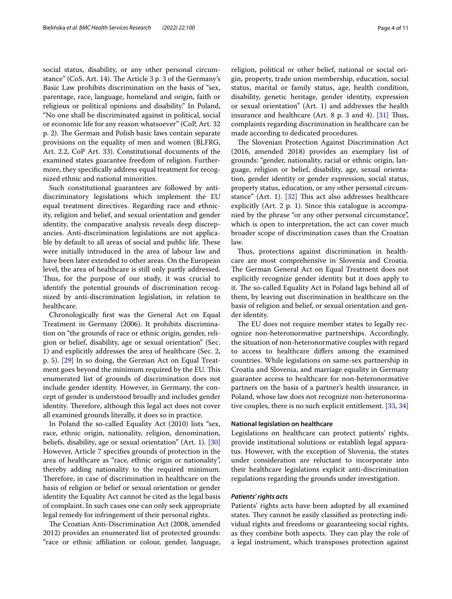social status, disability, or any other personal circumstance" (CoS, Art. 14). The Article 3 p. 3 of the Germany's Basic Law prohibits discrimination on the basis of "sex, parentage, race, language, homeland and origin, faith or religious or political opinions and disability." In Poland, "No one shall be discriminated against in political, social or economic life for any reason whatsoever" (CoP, Art. 32 p. 2). The German and Polish basic laws contain separate provisions on the equality of men and women (BLFRG, Art. 2.2, CoP Art. 33). Constitutional documents of the examined states guarantee freedom of religion. Furthermore, they specifcally address equal treatment for recognized ethnic and national minorities.

Such constitutional guarantees are followed by antidiscriminatory legislations which implement the EU equal treatment directives. Regarding race and ethnicity, religion and belief, and sexual orientation and gender identity, the comparative analysis reveals deep discrepancies. Anti-discrimination legislations are not applicable by default to all areas of social and public life. These were initially introduced in the area of labour law and have been later extended to other areas. On the European level, the area of healthcare is still only partly addressed. Thus, for the purpose of our study, it was crucial to identify the potential grounds of discrimination recognized by anti-discrimination legislation, in relation to healthcare.

Chronologically frst was the General Act on Equal Treatment in Germany (2006). It prohibits discrimination on "the grounds of race or ethnic origin, gender, religion or belief, disability, age or sexual orientation" (Sec. 1) and explicitly addresses the area of healthcare (Sec. 2, p. 5). [\[29](#page-8-20)] In so doing, the German Act on Equal Treatment goes beyond the minimum required by the EU. This enumerated list of grounds of discrimination does not include gender identity. However, in Germany, the concept of gender is understood broadly and includes gender identity. Therefore, although this legal act does not cover all examined grounds literally, it does so in practice.

In Poland the so-called Equality Act (2010) lists "sex, race, ethnic origin, nationality, religion, denomination, beliefs, disability, age or sexual orientation" (Art. 1). [[30](#page-8-21)] However, Article 7 specifes grounds of protection in the area of healthcare as "race, ethnic origin or nationality", thereby adding nationality to the required minimum. Therefore, in case of discrimination in healthcare on the basis of religion or belief or sexual orientation or gender identity the Equality Act cannot be cited as the legal basis of complaint. In such cases one can only seek appropriate legal remedy for infringement of their personal rights.

The Croatian Anti-Discrimination Act (2008, amended 2012) provides an enumerated list of protected grounds: "race or ethnic afliation or colour, gender, language, religion, political or other belief, national or social origin, property, trade union membership, education, social status, marital or family status, age, health condition, disability, genetic heritage, gender identity, expression or sexual orientation" (Art. 1) and addresses the health insurance and healthcare (Art. 8  $p$ . 3 and 4). [[31](#page-8-22)] Thus, complaints regarding discrimination in healthcare can be made according to dedicated procedures.

The Slovenian Protection Against Discrimination Act (2016, amended 2018) provides an exemplary list of grounds: "gender, nationality, racial or ethnic origin, language, religion or belief, disability, age, sexual orientation, gender identity or gender expression, social status, property status, education, or any other personal circumstance" (Art. 1).  $[32]$  $[32]$  This act also addresses healthcare explicitly (Art. 2 p. 1). Since this catalogue is accompanied by the phrase "or any other personal circumstance", which is open to interpretation, the act can cover much broader scope of discrimination cases than the Croatian law.

Thus, protections against discrimination in healthcare are most comprehensive in Slovenia and Croatia. The German General Act on Equal Treatment does not explicitly recognize gender identity but it does apply to it. The so-called Equality Act in Poland lags behind all of them, by leaving out discrimination in healthcare on the basis of religion and belief, or sexual orientation and gender identity.

The EU does not require member states to legally recognize non-heteronormative partnerships. Accordingly, the situation of non-heteronormative couples with regard to access to healthcare difers among the examined countries. While legislations on same-sex partnership in Croatia and Slovenia, and marriage equality in Germany guarantee access to healthcare for non-heteronormative partners on the basis of a partner's health insurance, in Poland, whose law does not recognize non-heteronormative couples, there is no such explicit entitlement. [\[33](#page-8-24), [34](#page-8-25)]

## **National legislation on healthcare**

Legislations on healthcare can protect patients' rights, provide institutional solutions or establish legal apparatus. However, with the exception of Slovenia, the states under consideration are reluctant to incorporate into their healthcare legislations explicit anti-discrimination regulations regarding the grounds under investigation.

# *Patients' rights acts*

Patients' rights acts have been adopted by all examined states. They cannot be easily classified as protecting individual rights and freedoms or guaranteeing social rights, as they combine both aspects. They can play the role of a legal instrument, which transposes protection against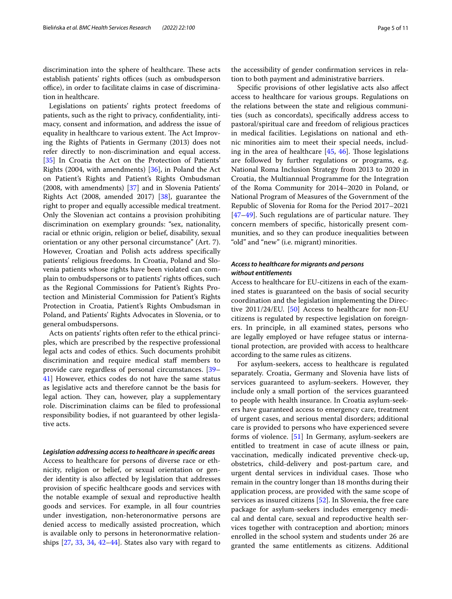discrimination into the sphere of healthcare. These acts establish patients' rights offices (such as ombudsperson office), in order to facilitate claims in case of discrimination in healthcare.

Legislations on patients' rights protect freedoms of patients, such as the right to privacy, confdentiality, intimacy, consent and information, and address the issue of equality in healthcare to various extent. The Act Improving the Rights of Patients in Germany (2013) does not refer directly to non-discrimination and equal access. [[35\]](#page-8-26) In Croatia the Act on the Protection of Patients' Rights (2004, with amendments) [\[36](#page-8-27)], in Poland the Act on Patient's Rights and Patient's Rights Ombudsman (2008, with amendments) [[37](#page-8-28)] and in Slovenia Patients' Rights Act (2008, amended 2017) [[38](#page-8-29)], guarantee the right to proper and equally accessible medical treatment. Only the Slovenian act contains a provision prohibiting discrimination on exemplary grounds: "sex, nationality, racial or ethnic origin, religion or belief, disability, sexual orientation or any other personal circumstance" (Art. 7). However, Croatian and Polish acts address specifcally patients' religious freedoms. In Croatia, Poland and Slovenia patients whose rights have been violated can complain to ombudspersons or to patients' rights offices, such as the Regional Commissions for Patient's Rights Protection and Ministerial Commission for Patient's Rights Protection in Croatia, Patient's Rights Ombudsman in Poland, and Patients' Rights Advocates in Slovenia, or to general ombudspersons.

Acts on patients' rights often refer to the ethical principles, which are prescribed by the respective professional legal acts and codes of ethics. Such documents prohibit discrimination and require medical staf members to provide care regardless of personal circumstances. [[39–](#page-8-30) [41\]](#page-9-0) However, ethics codes do not have the same status as legislative acts and therefore cannot be the basis for legal action. They can, however, play a supplementary role. Discrimination claims can be fled to professional responsibility bodies, if not guaranteed by other legislative acts.

# *Legislation addressing access to healthcare in specifc areas*

Access to healthcare for persons of diverse race or ethnicity, religion or belief, or sexual orientation or gender identity is also afected by legislation that addresses provision of specifc healthcare goods and services with the notable example of sexual and reproductive health goods and services. For example, in all four countries under investigation, non-heteronormative persons are denied access to medically assisted procreation, which is available only to persons in heteronormative relationships [[27,](#page-8-18) [33](#page-8-24), [34](#page-8-25), [42](#page-9-1)[–44](#page-9-2)]. States also vary with regard to

the accessibility of gender confrmation services in relation to both payment and administrative barriers.

Specifc provisions of other legislative acts also afect access to healthcare for various groups. Regulations on the relations between the state and religious communities (such as concordats), specifcally address access to pastoral/spiritual care and freedom of religious practices in medical facilities. Legislations on national and ethnic minorities aim to meet their special needs, including in the area of healthcare  $[45, 46]$  $[45, 46]$  $[45, 46]$  $[45, 46]$  $[45, 46]$ . Those legislations are followed by further regulations or programs, e.g. National Roma Inclusion Strategy from 2013 to 2020 in Croatia, the Multiannual Programme for the Integration of the Roma Community for 2014–2020 in Poland, or National Program of Measures of the Government of the Republic of Slovenia for Roma for the Period 2017–2021  $[47–49]$  $[47–49]$  $[47–49]$ . Such regulations are of particular nature. They concern members of specifc, historically present communities, and so they can produce inequalities between "old" and "new" (i.e. migrant) minorities.

# *Access to healthcare for migrants and persons without entitlements*

Access to healthcare for EU-citizens in each of the examined states is guaranteed on the basis of social security coordination and the legislation implementing the Directive 2011/24/EU. [\[50](#page-9-7)] Access to healthcare for non-EU citizens is regulated by respective legislation on foreigners. In principle, in all examined states, persons who are legally employed or have refugee status or international protection, are provided with access to healthcare according to the same rules as citizens.

For asylum-seekers, access to healthcare is regulated separately. Croatia, Germany and Slovenia have lists of services guaranteed to asylum-seekers. However, they include only a small portion of the services guaranteed to people with health insurance. In Croatia asylum-seekers have guaranteed access to emergency care, treatment of urgent cases, and serious mental disorders; additional care is provided to persons who have experienced severe forms of violence. [[51\]](#page-9-8) In Germany, asylum-seekers are entitled to treatment in case of acute illness or pain, vaccination, medically indicated preventive check-up, obstetrics, child-delivery and post-partum care, and urgent dental services in individual cases. Those who remain in the country longer than 18 months during their application process, are provided with the same scope of services as insured citizens [\[52\]](#page-9-9). In Slovenia, the free care package for asylum-seekers includes emergency medical and dental care, sexual and reproductive health services together with contraception and abortion; minors enrolled in the school system and students under 26 are granted the same entitlements as citizens. Additional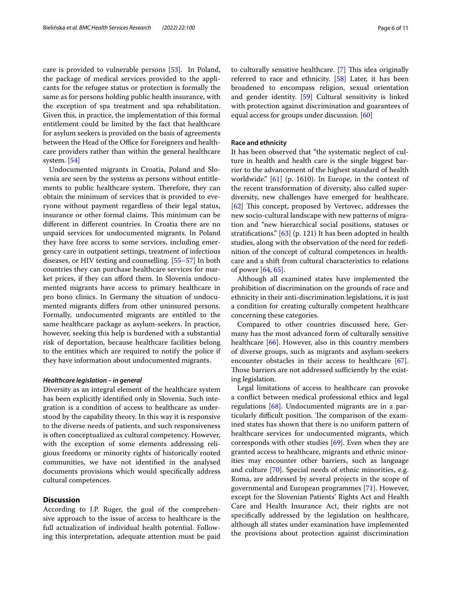care is provided to vulnerable persons [\[53\]](#page-9-10). In Poland, the package of medical services provided to the applicants for the refugee status or protection is formally the same as for persons holding public health insurance, with the exception of spa treatment and spa rehabilitation. Given this, in practice, the implementation of this formal entitlement could be limited by the fact that healthcare for asylum seekers is provided on the basis of agreements between the Head of the Office for Foreigners and healthcare providers rather than within the general healthcare system. [[54](#page-9-11)]

Undocumented migrants in Croatia, Poland and Slovenia are seen by the systems as persons without entitlements to public healthcare system. Therefore, they can obtain the minimum of services that is provided to everyone without payment regardless of their legal status, insurance or other formal claims. This minimum can be diferent in diferent countries. In Croatia there are no unpaid services for undocumented migrants. In Poland they have free access to some services, including emergency care in outpatient settings, treatment of infectious diseases, or HIV testing and counselling. [[55–](#page-9-12)[57\]](#page-9-13) In both countries they can purchase healthcare services for market prices, if they can aford them. In Slovenia undocumented migrants have access to primary healthcare in pro bono clinics. In Germany the situation of undocumented migrants difers from other uninsured persons. Formally, undocumented migrants are entitled to the same healthcare package as asylum-seekers. In practice, however, seeking this help is burdened with a substantial risk of deportation, because healthcare facilities belong to the entities which are required to notify the police if they have information about undocumented migrants.

## *Healthcare legislation – in general*

Diversity as an integral element of the healthcare system has been explicitly identifed only in Slovenia. Such integration is a condition of access to healthcare as understood by the capability theory. In this way it is responsive to the diverse needs of patients, and such responsiveness is often conceptualized as cultural competency. However, with the exception of some elements addressing religious freedoms or minority rights of historically rooted communities, we have not identifed in the analysed documents provisions which would specifcally address cultural competences.

# **Discussion**

According to J.P. Ruger, the goal of the comprehensive approach to the issue of access to healthcare is the full actualization of individual health potential. Following this interpretation, adequate attention must be paid to culturally sensitive healthcare. [[7\]](#page-8-6) This idea originally referred to race and ethnicity. [[58](#page-9-14)] Later, it has been broadened to encompass religion, sexual orientation and gender identity. [\[59\]](#page-9-15) Cultural sensitivity is linked with protection against discrimination and guarantees of equal access for groups under discussion. [\[60\]](#page-9-16)

# **Race and ethnicity**

It has been observed that "the systematic neglect of culture in health and health care is the single biggest barrier to the advancement of the highest standard of health worldwide." [\[61](#page-9-17)] (p. 1610). In Europe, in the context of the recent transformation of diversity, also called superdiversity, new challenges have emerged for healthcare. [[62\]](#page-9-18) This concept, proposed by Vertovec, addresses the new socio-cultural landscape with new patterns of migration and "new hierarchical social positions, statuses or stratifcations." [[63](#page-9-19)] (p. 121) It has been adopted in health studies, along with the observation of the need for redefnition of the concept of cultural competences in healthcare and a shift from cultural characteristics to relations of power [\[64](#page-9-20), [65\]](#page-9-21).

Although all examined states have implemented the prohibition of discrimination on the grounds of race and ethnicity in their anti-discrimination legislations, it is just a condition for creating culturally competent healthcare concerning these categories.

Compared to other countries discussed here, Germany has the most advanced form of culturally sensitive healthcare [\[66\]](#page-9-22). However, also in this country members of diverse groups, such as migrants and asylum-seekers encounter obstacles in their access to healthcare [\[67](#page-9-23)]. Those barriers are not addressed sufficiently by the existing legislation.

Legal limitations of access to healthcare can provoke a confict between medical professional ethics and legal regulations [\[68](#page-9-24)]. Undocumented migrants are in a particularly difficult position. The comparison of the examined states has shown that there is no uniform pattern of healthcare services for undocumented migrants, which corresponds with other studies [\[69\]](#page-9-25). Even when they are granted access to healthcare, migrants and ethnic minorities may encounter other barriers, such as language and culture [[70\]](#page-9-26). Special needs of ethnic minorities, e.g. Roma, are addressed by several projects in the scope of governmental and European programmes [\[71\]](#page-9-27). However, except for the Slovenian Patients' Rights Act and Health Care and Health Insurance Act, their rights are not specifcally addressed by the legislation on healthcare, although all states under examination have implemented the provisions about protection against discrimination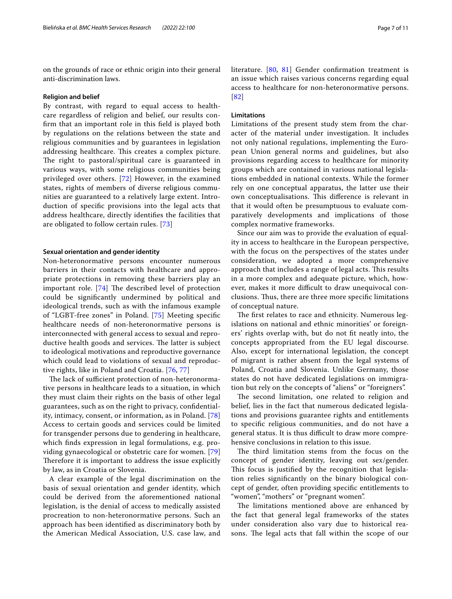on the grounds of race or ethnic origin into their general anti-discrimination laws.

#### **Religion and belief**

By contrast, with regard to equal access to healthcare regardless of religion and belief, our results confrm that an important role in this feld is played both by regulations on the relations between the state and religious communities and by guarantees in legislation addressing healthcare. This creates a complex picture. The right to pastoral/spiritual care is guaranteed in various ways, with some religious communities being privileged over others. [\[72\]](#page-9-28) However, in the examined states, rights of members of diverse religious communities are guaranteed to a relatively large extent. Introduction of specifc provisions into the legal acts that address healthcare, directly identifes the facilities that are obligated to follow certain rules. [[73](#page-9-29)]

# **Sexual orientation and gender identity**

Non-heteronormative persons encounter numerous barriers in their contacts with healthcare and appropriate protections in removing these barriers play an important role.  $[74]$  $[74]$  The described level of protection could be signifcantly undermined by political and ideological trends, such as with the infamous example of "LGBT-free zones" in Poland. [[75](#page-9-31)] Meeting specifc healthcare needs of non-heteronormative persons is interconnected with general access to sexual and reproductive health goods and services. The latter is subject to ideological motivations and reproductive governance which could lead to violations of sexual and reproductive rights, like in Poland and Croatia. [[76,](#page-9-32) [77\]](#page-9-33)

The lack of sufficient protection of non-heteronormative persons in healthcare leads to a situation, in which they must claim their rights on the basis of other legal guarantees, such as on the right to privacy, confdentiality, intimacy, consent, or information, as in Poland. [\[78](#page-9-34)] Access to certain goods and services could be limited for transgender persons due to gendering in healthcare, which fnds expression in legal formulations, e.g. providing gynaecological or obstetric care for women. [\[79](#page-9-35)] Therefore it is important to address the issue explicitly by law, as in Croatia or Slovenia.

A clear example of the legal discrimination on the basis of sexual orientation and gender identity, which could be derived from the aforementioned national legislation, is the denial of access to medically assisted procreation to non-heteronormative persons. Such an approach has been identifed as discriminatory both by the American Medical Association, U.S. case law, and literature. [\[80](#page-9-36), [81\]](#page-10-0) Gender confrmation treatment is an issue which raises various concerns regarding equal access to healthcare for non-heteronormative persons. [[82](#page-10-1)]

# **Limitations**

Limitations of the present study stem from the character of the material under investigation. It includes not only national regulations, implementing the European Union general norms and guidelines, but also provisions regarding access to healthcare for minority groups which are contained in various national legislations embedded in national contexts. While the former rely on one conceptual apparatus, the latter use their own conceptualisations. This difference is relevant in that it would often be presumptuous to evaluate comparatively developments and implications of those complex normative frameworks.

Since our aim was to provide the evaluation of equality in access to healthcare in the European perspective, with the focus on the perspectives of the states under consideration, we adopted a more comprehensive approach that includes a range of legal acts. This results in a more complex and adequate picture, which, however, makes it more difficult to draw unequivocal conclusions. Thus, there are three more specific limitations of conceptual nature.

The first relates to race and ethnicity. Numerous legislations on national and ethnic minorities' or foreigners' rights overlap with, but do not ft neatly into, the concepts appropriated from the EU legal discourse. Also, except for international legislation, the concept of migrant is rather absent from the legal systems of Poland, Croatia and Slovenia. Unlike Germany, those states do not have dedicated legislations on immigration but rely on the concepts of "aliens" or "foreigners".

The second limitation, one related to religion and belief, lies in the fact that numerous dedicated legislations and provisions guarantee rights and entitlements to specifc religious communities, and do not have a general status. It is thus difficult to draw more comprehensive conclusions in relation to this issue.

The third limitation stems from the focus on the concept of gender identity, leaving out sex/gender. This focus is justified by the recognition that legislation relies signifcantly on the binary biological concept of gender, often providing specifc entitlements to "women", "mothers" or "pregnant women".

The limitations mentioned above are enhanced by the fact that general legal frameworks of the states under consideration also vary due to historical reasons. The legal acts that fall within the scope of our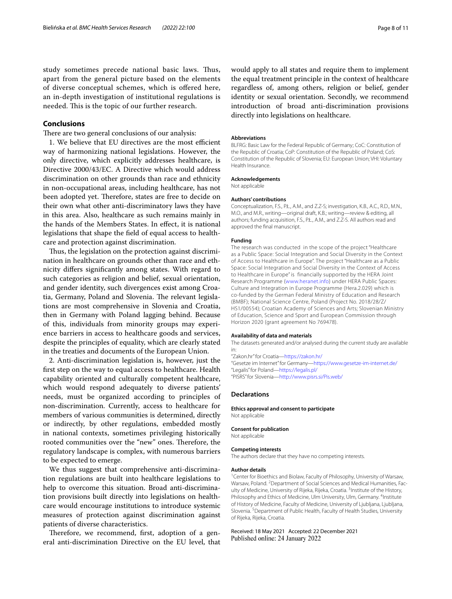study sometimes precede national basic laws. Thus, apart from the general picture based on the elements of diverse conceptual schemes, which is ofered here, an in-depth investigation of institutional regulations is needed. This is the topic of our further research.

# **Conclusions**

There are two general conclusions of our analysis:

1. We believe that EU directives are the most efficient way of harmonizing national legislations. However, the only directive, which explicitly addresses healthcare, is Directive 2000/43/EC. A Directive which would address discrimination on other grounds than race and ethnicity in non-occupational areas, including healthcare, has not been adopted yet. Therefore, states are free to decide on their own what other anti-discriminatory laws they have in this area. Also, healthcare as such remains mainly in the hands of the Members States. In efect, it is national legislations that shape the feld of equal access to healthcare and protection against discrimination.

Thus, the legislation on the protection against discrimination in healthcare on grounds other than race and ethnicity difers signifcantly among states. With regard to such categories as religion and belief, sexual orientation, and gender identity, such divergences exist among Croatia, Germany, Poland and Slovenia. The relevant legislations are most comprehensive in Slovenia and Croatia, then in Germany with Poland lagging behind. Because of this, individuals from minority groups may experience barriers in access to healthcare goods and services, despite the principles of equality, which are clearly stated in the treaties and documents of the European Union.

2. Anti-discrimination legislation is, however, just the frst step on the way to equal access to healthcare. Health capability oriented and culturally competent healthcare, which would respond adequately to diverse patients' needs, must be organized according to principles of non-discrimination. Currently, access to healthcare for members of various communities is determined, directly or indirectly, by other regulations, embedded mostly in national contexts, sometimes privileging historically rooted communities over the "new" ones. Therefore, the regulatory landscape is complex, with numerous barriers to be expected to emerge.

We thus suggest that comprehensive anti-discrimination regulations are built into healthcare legislations to help to overcome this situation. Broad anti-discrimination provisions built directly into legislations on healthcare would encourage institutions to introduce systemic measures of protection against discrimination against patients of diverse characteristics.

Therefore, we recommend, first, adoption of a general anti-discrimination Directive on the EU level, that would apply to all states and require them to implement the equal treatment principle in the context of healthcare regardless of, among others, religion or belief, gender identity or sexual orientation. Secondly, we recommend introduction of broad anti-discrimination provisions directly into legislations on healthcare.

## **Abbreviations**

BLFRG: Basic Law for the Federal Republic of Germany; CoC: Constitution of the Republic of Croatia; CoP: Constitution of the Republic of Poland; CoS: Constitution of the Republic of Slovenia; EU: European Union; VHI: Voluntary Health Insurance.

#### **Acknowledgements**

Not applicable

#### **Authors' contributions**

Conceptualization, F.S., P.Ł., A.M., and Z.Z-S; investigation, K.B., A.C., R.D., M.N., M.O., and M.R., writing—original draft, K.B.; writing—review & editing, all authors; funding acquisition, F.S., P.Ł., A.M., and Z.Z-S. All authors read and approved the fnal manuscript.

## **Funding**

The research was conducted in the scope of the project "Healthcare as a Public Space: Social Integration and Social Diversity in the Context of Access to Healthcare in Europe". The project "Healthcare as a Public Space: Social Integration and Social Diversity in the Context of Access to Healthcare in Europe" is financially supported by the HERA Joint Research Programme ([www.heranet.info\)](https://www.heranet.info) under HERA Public Spaces: Culture and Integration in Europe Programme (Hera.2.029) which is co-funded by the German Federal Ministry of Education and Research (BMBF); National Science Centre, Poland (Project No. 2018/28/Z/ HS1/00554); Croatian Academy of Sciences and Arts; Slovenian Ministry of Education, Science and Sport and European Commission through Horizon 2020 (grant agreement No 769478).

#### **Availability of data and materials**

The datasets generated and/or analysed during the current study are available

in: "Zakon.hr" for Croatia—<https://zakon.hr/> "Gesetze im Internet" for Germany[—https://www.gesetze-im-internet.de/](https://www.gesetze-im-internet.de/) "Legalis" for Poland[—https://legalis.pl/](https://legalis.pl/) "PISRS" for Slovenia[—http://www.pisrs.si/Pis.web/](http://www.pisrs.si/Pis.web/)

## **Declarations**

**Ethics approval and consent to participate** Not applicable

## **Consent for publication**

Not applicable

## **Competing interests**

The authors declare that they have no competing interests.

#### **Author details**

<sup>1</sup> Center for Bioethics and Biolaw, Faculty of Philosophy, University of Warsaw, Warsaw, Poland. <sup>2</sup> Department of Social Sciences and Medical Humanities, Faculty of Medicine, University of Rijeka, Rijeka, Croatia. <sup>3</sup>Institute of the History, Philosophy and Ethics of Medicine, Ulm University, Ulm, Germany. <sup>4</sup>Institute of History of Medicine, Faculty of Medicine, University of Ljubljana, Ljubljana, Slovenia.<sup>5</sup> Department of Public Health, Faculty of Health Studies, University of Rijeka, Rijeka, Croatia.

Received: 18 May 2021 Accepted: 22 December 2021Published online: 24 January 2022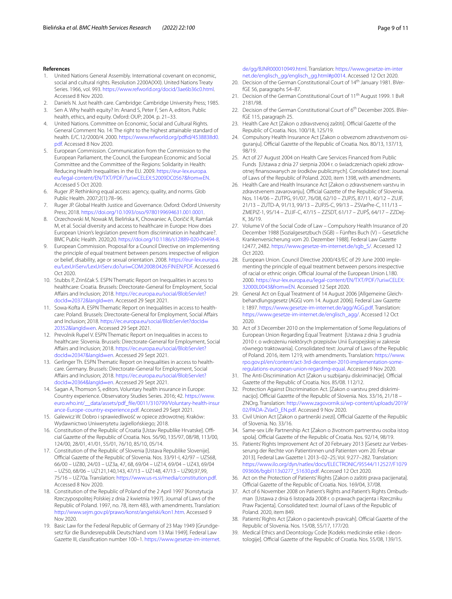## **References**

- <span id="page-8-0"></span>1. United Nations General Assembly. International covenant on economic, social and cultural rights. Resolution 2200A(XXI). United Nations Treaty Series. 1966, vol. 993. [https://www.refworld.org/docid/3ae6b36c0.html.](https://www.refworld.org/docid/3ae6b36c0.html) Accessed 8 Nov 2020.
- <span id="page-8-1"></span>2. Daniels N. Just health care. Cambridge: Cambridge University Press; 1985.
- <span id="page-8-2"></span>3. Sen A. Why health equity? In: Anand S, Peter F, Sen A, editors. Public health, ethics, and equity. Oxford: OUP; 2004. p. 21–33.
- <span id="page-8-3"></span>4. United Nations. Committee on Economic, Social and Cultural Rights. General Comment No. 14: The right to the highest attainable standard of health. E/C.12/2000/4. 2000. [https://www.refworld.org/pdfd/4538838d0.](https://www.refworld.org/pdfid/4538838d0.pdf) [pdf.](https://www.refworld.org/pdfid/4538838d0.pdf) Accessed 8 Nov 2020.
- <span id="page-8-4"></span>5. European Commission. Communication from the Commission to the European Parliament, the Council, the European Economic and Social Committee and the Committee of the Regions: Solidarity in Health: Reducing Health Inequalities in the EU. 2009. [https://eur-lex.europa.](https://eur-lex.europa.eu/legal-content/EN/TXT/PDF/?uri=CELEX:52009DC0567&from=EN) [eu/legal-content/EN/TXT/PDF/?uri](https://eur-lex.europa.eu/legal-content/EN/TXT/PDF/?uri=CELEX:52009DC0567&from=EN)=CELEX:52009DC0567&from=EN. Accessed 5 Oct 2020.
- <span id="page-8-5"></span>6. Ruger JP. Rethinking equal access: agency, quality, and norms. Glob Public Health. 2007;2(1):78–96.
- <span id="page-8-6"></span>7. Ruger JP. Global Health Justice and Governance. Oxford: Oxford University Press; 2018.<https://doi.org/10.1093/oso/9780199694631.001.0001>.
- <span id="page-8-7"></span>8. Orzechowski M, Nowak M, Bielińska K, Chowaniec A, Doričić R, Ramšak M, et al. Social diversity and access to healthcare in Europe: How does European Union's legislation prevent from discrimination in healthcare?. BMC Public Health. 2020;20. [https://doi.org/10.1186/s12889-020-09494-8.](https://doi.org/10.1186/s12889-020-09494-8)
- <span id="page-8-8"></span>9. European Commission. Proposal for a Council Directive on implementing the principle of equal treatment between persons irrespective of religion or belief, disability, age or sexual orientation. 2008. [https://eur-lex.europa.](https://eur-lex.europa.eu/LexUriServ/LexUriServ.do?uri=COM:2008:0426:FIN:EN:PDF) [eu/LexUriServ/LexUriServ.do?uri](https://eur-lex.europa.eu/LexUriServ/LexUriServ.do?uri=COM:2008:0426:FIN:EN:PDF)=COM:2008:0426:FIN:EN:PDF. Accessed 6 Oct 2020.
- <span id="page-8-9"></span>10. Stubbs P, Zrinščak S. ESPN Thematic Report on Inequalities in access to healthcare: Croatia*.* Brussels: Directorate-General for Employment, Social Afairs and Inclusion; 2018. [https://ec.europa.eu/social/BlobServlet?](https://ec.europa.eu/social/BlobServlet?docId=20372&langId=en) docId=20372&langId=en. Accessed 29 Sept 2021.
- <span id="page-8-13"></span>11. [Sowa-Kofta A. ESPN Thema](https://ec.europa.eu/social/BlobServlet?docId=20372&langId=en)tic Report on Inequalities in access to healthcare: Poland*.* Brussels: Directorate-General for Employment, Social Afairs and Inclusion; 2018. [https://ec.europa.eu/social/BlobServlet?docId](https://ec.europa.eu/social/BlobServlet?docId=20352&langId=en)= [20352&langId](https://ec.europa.eu/social/BlobServlet?docId=20352&langId=en)=en. Accessed 29 Sept 2021.
- <span id="page-8-11"></span>12. Prevolnik Rupel V. ESPN Thematic Report on Inequalities in access to healthcare: Slovenia. Brussels: Directorate-General for Employment, Social Afairs and Inclusion; 2018. [https://ec.europa.eu/social/BlobServlet?](https://ec.europa.eu/social/BlobServlet?docId=20347&langId=en) docId=20347&langId=en. Accessed 29 Sept 2021.
- <span id="page-8-10"></span>13. [Gerlinger Th. ESPN Themat](https://ec.europa.eu/social/BlobServlet?docId=20347&langId=en)ic Report on Inequalities in access to healthcare. Germany. Brussels: Directorate-General for Employment, Social Afairs and Inclusion; 2018. [https://ec.europa.eu/social/BlobServlet?](https://ec.europa.eu/social/BlobServlet?docId=20364&langId=en) docId=20364&langId=en. Accessed 29 Sept 2021.
- <span id="page-8-12"></span>14. [Sagan A, Thomson S, edito](https://ec.europa.eu/social/BlobServlet?docId=20364&langId=en)rs. Voluntary health insurance in Europe: Country experience. Observatory Studies Series. 2016; 42. [https://www.](https://www.euro.who.int/__data/assets/pdf_file/0011/310799/Voluntary-health-insurance-Europe-country-experience.pdf) [euro.who.int/\\_\\_data/assets/pdf\\_fle/0011/310799/Voluntary-health-insur](https://www.euro.who.int/__data/assets/pdf_file/0011/310799/Voluntary-health-insurance-Europe-country-experience.pdf) [ance-Europe-country-experience.pdf.](https://www.euro.who.int/__data/assets/pdf_file/0011/310799/Voluntary-health-insurance-Europe-country-experience.pdf) Accessed 29 Sept 2021.
- <span id="page-8-14"></span>15. Galewicz W. Dobro i sprawiedliwość w opiece zdrowotnej. Kraków: Wydawnictwo Uniwersytetu Jagiellońskiego; 2018.
- <span id="page-8-15"></span>16. Constitution of the Republic of Croatia [Ustav Republike Hrvatske]. Official Gazette of the Republic of Croatia. Nos. 56/90, 135/97, 08/98, 113/00, 124/00, 28/01, 41/01, 55/01, 76/10, 85/10, 05/14.
- 17. Constitution of the Republic of Slovenia [Ustava Republike Slovenije]. Official Gazette of the Republic of Slovenia. Nos. 33/91-I, 42/97 - UZS68, 66/00 – UZ80, 24/03 – UZ3a, 47, 68, 69/04 – UZ14, 69/04 – UZ43, 69/04 – UZ50, 68/06 – UZ121,140,143, 47/13 – UZ148, 47/13 – UZ90,97,99, 75/16 – UZ70a. Translation: <https://www.us-rs.si/media/constitution.pdf>. Accessed 8 Nov 2020.
- 18. Constitution of the Republic of Poland of the 2 April 1997 [Konstytucja Rzeczypospolitej Polskiej z dnia 2 kwietnia 1997]. Journal of Laws of the Republic of Poland. 1997, no. 78, item 483, with amendments. Translation: [http://www.sejm.gov.pl/prawo/konst/angielski/kon1.htm.](http://www.sejm.gov.pl/prawo/konst/angielski/kon1.htm) Accessed 9 Nov 2020.
- 19. Basic Law for the Federal Republic of Germany of 23 May 1949 [Grundgesetz für die Bundesrepublik Deutschland vom 13 Mai 1949]. Federal Law Gazette III, classifcation number 100–1. [https://www.gesetze-im-internet.](https://www.gesetze-im-internet.de/gg/BJNR000010949.html)

[de/gg/BJNR000010949.html](https://www.gesetze-im-internet.de/gg/BJNR000010949.html). Translation: [https://www.gesetze-im-inter](https://www.gesetze-im-internet.de/englisch_gg/englisch_gg.html#p0014) [net.de/englisch\\_gg/englisch\\_gg.html#p0014](https://www.gesetze-im-internet.de/englisch_gg/englisch_gg.html#p0014). Accessed 12 Oct 2020.

- 20. Decision of the German Constitutional Court of 14<sup>th</sup> January 1981. BVerfGE 56, paragraphs 54–87.
- 21. Decision of the German Constitutional Court of 11<sup>th</sup> August 1999. 1 BvR 2181/98.
- <span id="page-8-16"></span>22. Decision of the German Constitutional Court of 6<sup>th</sup> December 2005. BVerfGE 115, paragraph 25.
- <span id="page-8-17"></span>23. Health Care Act [Zakon o zdravstvenoj zaštiti]. Official Gazette of the Republic of Croatia. Nos. 100/18, 125/19.
- 24. Compulsory Health Insurance Act [Zakon o obveznom zdravstvenom osiguranju]. Official Gazette of the Republic of Croatia. Nos. 80/13, 137/13, 98/19.
- 25. Act of 27 August 2004 on Health Care Services Financed from Public Funds [Ustawa z dnia 27 sierpnia 2004 r. o świadczeniach opieki zdrow‑ otnej fnansowanych ze środków publicznych]. Consolidated text: Journal of Laws of the Republic of Poland. 2020, item 1398, with amendments.
- 26. Health Care and Health Insurance Act [Zakon o zdravstvenem varstvu in zdravstvenem zavarovanju]. Official Gazette of the Republic of Slovenia. Nos. 114/06 – ZUTPG, 91/07, 76/08, 62/10 – ZUPJS, 87/11, 40/12 – ZUJF, 21/13 – ZUTD-A, 91/13, 99/13 – ZUPJS-C, 99/13 – ZSVarPre-C, 111/13 – ZMEPIZ-1, 95/14 – ZUJF-C, 47/15 – ZZSDT, 61/17 – ZUPŠ, 64/17 – ZZDej-K, 36/19.
- <span id="page-8-18"></span>27. Volume V of the Social Code of Law – Compulsory Health Insurance of 20 December 1988 [Sozialgesetzbuch (SGB) – Fünftes Buch (V) – Gesetzliche Krankenversicherung vom 20. Dezember 1988]. Federal Law Gazette I:2477, 2482. [https://www.gesetze-im-internet.de/sgb\\_5/](https://www.gesetze-im-internet.de/sgb_5/). Accessed 12 Oct 2020.
- <span id="page-8-19"></span>28. European Union. Council Directive 2000/43/EC of 29 June 2000 implementing the principle of equal treatment between persons irrespective of racial or ethnic origin. Official Journal of the European Union L180. 2000. [https://eur-lex.europa.eu/legal-content/EN/TXT/PDF/?uri](https://eur-lex.europa.eu/legal-content/EN/TXT/PDF/?uri=CELEX:32000L0043&from=EN)=CELEX: [32000L0043&from](https://eur-lex.europa.eu/legal-content/EN/TXT/PDF/?uri=CELEX:32000L0043&from=EN)=EN. Accessed 12 Sept 2020.
- <span id="page-8-20"></span>29. General Act on Equal Treatment of 14 August 2006 [Allgemeine Gleichbehandlungsgesetz (AGG) vom 14. August 2006]. Federal Law Gazette I: 1897. <https://www.gesetze-im-internet.de/agg/AGG.pdf>. Translation: [https://www.gesetze-im-internet.de/englisch\\_agg/](https://www.gesetze-im-internet.de/englisch_agg/). Accessed 12 Oct 2020.
- <span id="page-8-21"></span>30. Act of 3 December 2010 on the Implementation of Some Regulations of European Union Regarding Equal Treatment [Ustawa z dnia 3 grudnia 2010 r. o wdrożeniu niektórych przepisów Unii Europejskiej w zakresie równego traktowania]. Consolidated text: Journal of Laws of the Republic of Poland. 2016, item 1219, with amendments. Translation: [https://www.](https://www.rpo.gov.pl/en/content/act-3rd-december-2010-implementation-some-regulations-european-union-regarding-equal) [rpo.gov.pl/en/content/act-3rd-december-2010-implementation-some](https://www.rpo.gov.pl/en/content/act-3rd-december-2010-implementation-some-regulations-european-union-regarding-equal) [regulations-european-union-regarding-equal.](https://www.rpo.gov.pl/en/content/act-3rd-december-2010-implementation-some-regulations-european-union-regarding-equal) Accessed 9 Nov 2020.
- <span id="page-8-22"></span>31. The Anti-Discrimination Act [Zakon u suzbijanju diskriminacije]. Official Gazette of the Republic of Croatia. Nos. 85/08. 112/12.
- <span id="page-8-23"></span>32. Protection Against Discrimination Act. [Zakon o varstvu pred diskriminacijo]. Official Gazette of the Republic of Slovenia. Nos. 33/16, 21/18 -ZNOrg. Translation: [http://www.zagovornik.si/wp-content/uploads/2019/](http://www.zagovornik.si/wp-content/uploads/2019/02/PADA-ZVarD_EN.pdf) [02/PADA-ZVarD\\_EN.pdf.](http://www.zagovornik.si/wp-content/uploads/2019/02/PADA-ZVarD_EN.pdf) Accessed 9 Nov 2020.
- <span id="page-8-24"></span>33. Civil Union Act [Zakon o partnerski zvezi]. Official Gazette of the Republic of Slovenia. No. 33/16.
- <span id="page-8-25"></span>34. Same-sex Life Partnership Act [Zakon o životnom partnerstvu osoba istog spola]. Official Gazette of the Republic of Croatia. Nos. 92/14, 98/19.
- <span id="page-8-26"></span>35. Patients' Rights Improvement Act of 20 February 2013 [Gesetz zur Verbesserung der Rechte von Patientinnen und Patienten vom 20. Februar 2013]. Federal Law Gazette I. 2013–02–25; Vol. 9:277–282. Translation: [https://www.ilo.org/dyn/natlex/docs/ELECTRONIC/95544/112527/F1079](https://www.ilo.org/dyn/natlex/docs/ELECTRONIC/95544/112527/F1079093606/bgbl113s0277_51630.pdf) [093606/bgbl113s0277\\_51630.pdf](https://www.ilo.org/dyn/natlex/docs/ELECTRONIC/95544/112527/F1079093606/bgbl113s0277_51630.pdf). Accessed 12 Oct 2020.
- <span id="page-8-27"></span>36. Act on the Protection of Patients' Rights [Zakon o zaštiti prava pacijenata]. Official Gazette of the Republic of Croatia. Nos. 169/04, 37/08.
- <span id="page-8-28"></span>37. Act of 6 November 2008 on Patient's Rights and Patient's Rights Ombudsman [Ustawa z dnia 6 listopada 2008 r. o prawach pacjenta i Rzeczniku Praw Pacjenta]. Consolidated text: Journal of Laws of the Republic of Poland. 2020, item 849.
- <span id="page-8-29"></span>38. Patients' Rights Act [Zakon o pacientovih pravicah]. Official Gazette of the Republic of Slovenia. Nos. 15/08, 55/17, 177/20.
- <span id="page-8-30"></span>39. Medical Ethics and Deontology Code [Kodeks medicinske etike i deontologije]. Official Gazette of the Republic of Croatia. Nos. 55/08, 139/15.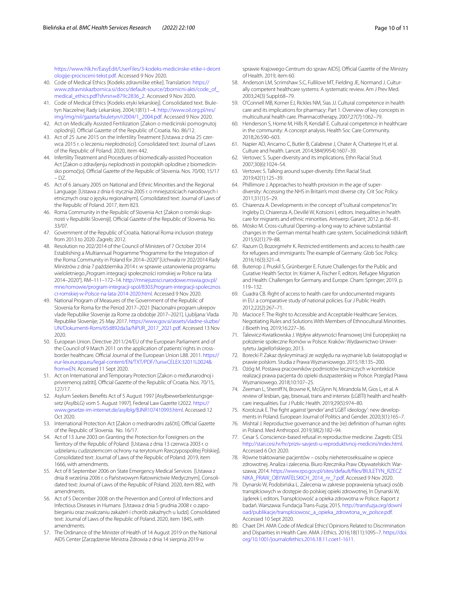[https://www.hlk.hr/EasyEdit/UserFiles/3-kodeks-medicinske-etike-i-deont](https://www.hlk.hr/EasyEdit/UserFiles/3-kodeks-medicinske-etike-i-deontologije-procisceni-tekst.pdf) [ologije-procisceni-tekst.pdf.](https://www.hlk.hr/EasyEdit/UserFiles/3-kodeks-medicinske-etike-i-deontologije-procisceni-tekst.pdf) Accessed 9 Nov 2020.

- 40. Code of Medical Ethics [Kodeks zdravniške etike]. Translation: [https://](https://www.zdravniskazbornica.si/docs/default-source/zbornicni-akti/code_of_medical_ethics.pdf?sfvrsn=879c2836_2) [www.zdravniskazbornica.si/docs/default-source/zbornicni-akti/code\\_of\\_](https://www.zdravniskazbornica.si/docs/default-source/zbornicni-akti/code_of_medical_ethics.pdf?sfvrsn=879c2836_2) [medical\\_ethics.pdf?sfvrsn](https://www.zdravniskazbornica.si/docs/default-source/zbornicni-akti/code_of_medical_ethics.pdf?sfvrsn=879c2836_2)=879c2836\_2. Accessed 9 Nov 2020.
- <span id="page-9-0"></span>41. Code of Medical Ethics [Kodeks etyki lekarskiej]. Consolidated text. Biuletyn Naczelnej Rady Lekarskiej. 2004;1(81):1–4. [http://www.oil.org.pl/res/](http://www.oil.org.pl/res/img/img/nil/gazeta/biuletyn/r2004/1_2004.pdf) [img/img/nil/gazeta/biuletyn/r2004/1\\_2004.pdf.](http://www.oil.org.pl/res/img/img/nil/gazeta/biuletyn/r2004/1_2004.pdf) Accessed 9 Nov 2020.
- <span id="page-9-1"></span>42. Act on Medically Assisted Fertilization [Zakon o medicinski pomognutoj oplodniil. Official Gazette of the Republic of Croatia. No. 86/12.
- 43. Act of 25 June 2015 on the Infertility Treatment [Ustawa z dnia 25 czerwca 2015 r. o leczeniu niepłodności]. Consolidated text: Journal of Laws of the Republic of Poland. 2020, item 442.
- <span id="page-9-2"></span>44. Infertility Treatment and Procedures of biomedically-assisted Procreation Act [Zakon o zdravljenju neplodnosti in postopkih oploditve z biomedicinsko pomočjo]. Official Gazette of the Republic of Slovenia. Nos. 70/00, 15/17 – DZ.
- <span id="page-9-3"></span>45. Act of 6 January 2005 on National and Ethnic Minorities and the Regional Language. [Ustawa z dnia 6 stycznia 2005 r. o mniejszościach narodowych i etnicznych oraz o języku regionalnym]. Consolidated text: Journal of Laws of the Republic of Poland. 2017, item 823.
- <span id="page-9-4"></span>46. Roma Community in the Republic of Slovenia Act [Zakon o romski skupnosti v Republiki Sloveniji]. Official Gazette of the Republic of Slovenia. No. 33/07.
- <span id="page-9-5"></span>47. Government of the Republic of Croatia. National Roma inclusion strategy from 2013 to 2020. Zagreb; 2012.
- 48. Resolution no 202/2014 of the Council of Ministers of 7 October 2014 Establishing a Multiannual Programme "Programme for the Integration of the Roma Community in Poland for 2014–2020" [Uchwała nr 202/2014 Rady Ministrów z dnia 7 października 2014 r. w sprawie ustanowienia programu wieloletniego "Program integracji społeczności romskiej w Polsce na lata 2014–2020"]. RM–111–172–14. [http://mniejszosci.narodowe.mswia.gov.pl/](http://mniejszosci.narodowe.mswia.gov.pl/mne/romowie/program-integracji-spol/8303,Program-integracji-spolecznosci-romskiej-w-Polsce-na-lata-2014-2020.html) [mne/romowie/program-integracji-spol/8303,Program-integracji-spolecznos](http://mniejszosci.narodowe.mswia.gov.pl/mne/romowie/program-integracji-spol/8303,Program-integracji-spolecznosci-romskiej-w-Polsce-na-lata-2014-2020.html) [ci-romskiej-w-Polsce-na-lata-2014-2020.html](http://mniejszosci.narodowe.mswia.gov.pl/mne/romowie/program-integracji-spol/8303,Program-integracji-spolecznosci-romskiej-w-Polsce-na-lata-2014-2020.html). Accessed 9 Nov 2020.
- <span id="page-9-6"></span>49. National Program of Measures of the Government of the Republic of Slovenia for Roma for the Period 2017–2021 [Nacionalni program ukrepov vlade Republike Slovenije za Rome za obdobje 2017–2021]. Ljubljana: Vlada Republike Slovenije; 25 May 2017. [https://www.gov.si/assets/vladne-sluzbe/](https://www.gov.si/assets/vladne-sluzbe/UN/Dokumenti-Romi/65d892da3a/NPUR_2017_2021.pdf) [UN/Dokumenti-Romi/65d892da3a/NPUR\\_2017\\_2021.pdf.](https://www.gov.si/assets/vladne-sluzbe/UN/Dokumenti-Romi/65d892da3a/NPUR_2017_2021.pdf) Accessed 13 Nov 2020.
- <span id="page-9-7"></span>50. European Union. Directive 2011/24/EU of the European Parliament and of the Council of 9 March 2011 on the application of patients' rights in crossborder healthcare. Official Journal of the European Union L88. 2011. [https://](https://eur-lex.europa.eu/legal-content/EN/TXT/PDF/?uri=CELEX:32011L0024&from=EN) [eur-lex.europa.eu/legal-content/EN/TXT/PDF/?uri](https://eur-lex.europa.eu/legal-content/EN/TXT/PDF/?uri=CELEX:32011L0024&from=EN)=CELEX:32011L0024& from=EN. Accessed 11 Sept 2020.
- <span id="page-9-8"></span>51. [Act on Int](https://eur-lex.europa.eu/legal-content/EN/TXT/PDF/?uri=CELEX:32011L0024&from=EN)ernational and Temporary Protection [Zakon o međunarodnoj i privremenoj zaštiti]. Official Gazette of the Republic of Croatia. Nos. 70/15, 127/17.
- <span id="page-9-9"></span>52. Asylum Seekers Benefits Act of 5 August 1997 [Asylbewerberleistungsgesetz (AsylbLG) vom 5. August 1997]. Federal Law Gazette I:2022. [https://](https://www.gesetze-im-internet.de/asylblg/BJNR107410993.html) [www.gesetze-im-internet.de/asylblg/BJNR107410993.html](https://www.gesetze-im-internet.de/asylblg/BJNR107410993.html). Accessed 12 Oct 2020.
- <span id="page-9-10"></span>53. International Protection Act [Zakon o mednarodni zaščiti]. Official Gazette of the Republic of Slovenia. No. 16/17.
- <span id="page-9-11"></span>54. Act of 13 June 2003 on Granting the Protection for Foreigners on the Territory of the Republic of Poland [Ustawa z dnia 13 czerwca 2003 r. o udzielaniu cudzoziemcom ochrony na terytorium Rzeczypospolitej Polskiej]. Consolidated text: Journal of Laws of the Republic of Poland. 2019, item 1666, with amendments.
- <span id="page-9-12"></span>55. Act of 8 September 2006 on State Emergency Medical Services [Ustawa z dnia 8 września 2006 r. o Państwowym Ratownictwie Medycznym]. Consoli‑ dated text: Journal of Laws of the Republic of Poland. 2020, item 882, with amendments.
- 56. Act of 5 December 2008 on the Prevention and Control of Infections and Infectious Diseases in Humans [Ustawa z dnia 5 grudnia 2008 r. o zapobieganiu oraz zwalczaniu zakażeń i chorób zakaźnych u ludzi]. Consolidated text: Journal of Laws of the Republic of Poland. 2020, item 1845, with amendments.
- <span id="page-9-13"></span>57. The Ordinance of the Minister of Health of 14 August 2019 on the National AIDS Center [Zarządzenie Ministra Zdrowia z dnia 14 sierpnia 2019 w

sprawie Krajowego Centrum do spraw AIDS]. Official Gazette of the Ministry of Health. 2019, item 60.

- <span id="page-9-14"></span>58. Anderson LM, Scrimshaw S.C, Fullilove MT, Fielding JE, Normand J. Culturally competent healthcare systems: A systematic review. Am J Prev Med. 2003;24(3) Suppl:68–79.
- <span id="page-9-15"></span>59. O'Connell MB, Korner EJ, Rickles NM, Sias JJ. Cultural competence in health care and its implications for pharmacy: Part 1. Overview of key concepts in multicultural health care. Pharmacotherapy. 2007;27(7):1062–79.
- <span id="page-9-16"></span>60. Henderson S, Horne M, Hills R, Kendall E. Cultural competence in healthcare in the community: A concept analysis. Health Soc Care Community. 2018;26:590–603.
- <span id="page-9-17"></span>61. Napier AD, Ancarno C, Butler B, Calabrese J, Chater A, Chatterjee H, et al. Culture and health. Lancet. 2014;384(9954):1607–39.
- <span id="page-9-18"></span>62. Vertovec S. Super-diversity and its implications. Ethn Racial Stud. 2007;30(6):1024–54.
- <span id="page-9-19"></span>63. Vertovec S. Talking around super-diversity. Ethn Racial Stud. 2019;42(1):125–39.
- <span id="page-9-20"></span>64. Phillimore J. Approaches to health provision in the age of superdiversity: Accessing the NHS in Britain's most diverse city. Crit Soc Policy. 2011;31(1):5–29.
- <span id="page-9-21"></span>65. Chiarenza A. Developments in the concept of "cultural competence." In: Ingleby D, Chiarenza A, Devillé W, Kotsioni I, editors. Inequalities in health care for migrants and ethnic minorities. Antwerp: Garant; 2012. p. 66–81.
- <span id="page-9-22"></span>66. Mösko M. Cross-cultural Opening–a long way to achieve substantial changes in the German mental health care system. Socialmedicinsk tidskrift. 2015;92(1):79–88.
- <span id="page-9-23"></span>67. Razum O, Bozorgmehr K. Restricted entitlements and access to health care for refugees and immigrants: The example of Germany. Glob Soc Policy. 2016;16(3):321–4.
- <span id="page-9-24"></span>68. Butenop J, Pruskil S, Grünberger E. Future Challenges for the Public and Curative Health Sector. In: Krämer A, Fischer F, editors. Refugee Migration and Health: Challenges for Germany and Europe. Cham: Springer; 2019. p. 119–132.
- <span id="page-9-25"></span>69. Cuadra CB. Right of access to health care for undocumented migrants in EU: a comparative study of national policies. Eur J Public Health. 2012;22(2):267–71.
- <span id="page-9-26"></span>70. Macioce F. The Right to Accessible and Acceptable Healthcare Services. Negotiating Rules and Solutions With Members of Ethnocultural Minorities. J Bioeth Inq. 2019;16:227–36.
- <span id="page-9-27"></span>71. Talewicz-Kwiatkowska J. Wpływ aktywności fnansowej Unii Europejskiej na położenie społeczne Romów w Polsce. Kraków: Wydawnictwo Uniwer‑ sytetu Jagiellońskiego; 2013.
- <span id="page-9-28"></span>72. Borecki P. Zakaz dyskryminacji ze względu na wyznanie lub światopogląd w prawie polskim. Studia z Prawa Wyznaniowego. 2015;18:135–200.
- <span id="page-9-29"></span>73. Ożóg M. Postawa pracowników podmiotów leczniczych w kontekście realizacji prawa pacjenta do opieki duszpasterskiej w Polsce. Przegląd Prawa Wyznaniowego. 2018;10:107–25.
- <span id="page-9-30"></span>74. Zeeman L, Sherriff N, Browne K, McGlynn N, Mirandola M, Gios L, et al. A review of lesbian, gay, bisexual, trans and intersex (LGBTI) health and healthcare inequalities. Eur J Public Health. 2019;29(5):974–80.
- <span id="page-9-31"></span>75. Korolczuk E. The fight against 'gender' and 'LGBT ideology': new developments in Poland. European Journal of Politics and Gender. 2020;3(1):165–7.
- <span id="page-9-32"></span>76. Mishtal J. Reproductive governance and the (re) defnition of human rights in Poland. Med Anthropol. 2019;38(2):182–94.
- <span id="page-9-33"></span>77. Cesar S. Conscience-based refusal in reproductive medicine. Zagreb: CESI. <http://stari.cesi.hr/hr/priziv-savjesti-u-reproduktivnoj-medicini/index.html>. Accessed 6 Oct 2020.
- <span id="page-9-34"></span>78. Równe traktowanie pacjentów – osoby nieheteroseksualne w opiece zdrowotnej. Analiza i zalecenia. Biuro Rzecznika Praw Obywatelskich: Warszawa; 2014. [https://www.rpo.gov.pl/sites/default/fles/BIULETYN\\_RZECZ](https://www.rpo.gov.pl/sites/default/files/BIULETYN_RZECZNIKA_PRAW_OBYWATELSKICH_2014_nr_7.pdf) [NIKA\\_PRAW\\_OBYWATELSKICH\\_2014\\_nr\\_7.pdf](https://www.rpo.gov.pl/sites/default/files/BIULETYN_RZECZNIKA_PRAW_OBYWATELSKICH_2014_nr_7.pdf). Accessed 9 Nov 2020.
- <span id="page-9-35"></span>79. Dynarski W, Podobińska L. Zalecenia w zakresie poprawienia sytuacji osób transpłciowych w dostępie do polskiej opieki zdrowotnej. In Dynarski W, Jąderek I, editors. Transpłciowość a opieka zdrowotna w Polsce. Raport z badań. Warszawa: Fundacja Trans-Fuzja; 2015. [http://transfuzja.org/downl](http://transfuzja.org/download/publikacje/transplciowosc_a_opieka_zdrowtona_w_polsce.pdf) [oad/publikacje/transplciowosc\\_a\\_opieka\\_zdrowtona\\_w\\_polsce.pdf](http://transfuzja.org/download/publikacje/transplciowosc_a_opieka_zdrowtona_w_polsce.pdf). Accessed 10 Sept 2020.
- <span id="page-9-36"></span>80. Chaet DH. AMA Code of Medical Ethics' Opinions Related to Discrimination and Disparities in Health Care. AMA J Ethics. 2016;18(11):1095-7. [https://doi.](https://doi.org/10.1001/journalofethics.2016.18.11.coet1-1611) [org/10.1001/journalofethics.2016.18.11.coet1-1611.](https://doi.org/10.1001/journalofethics.2016.18.11.coet1-1611)